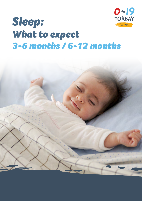

# *Sleep: What to expect 3-6 months / 6-12 months*

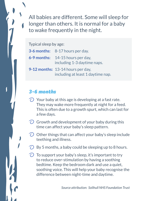All babies are different. Some will sleep for longer than others. It is normal for a baby to wake frequently in the night.

Typical sleep by age:

| <b>3-6 months:</b> 8-17 hours per day.                                 |
|------------------------------------------------------------------------|
| <b>6-9 months:</b> 14-15 hours per day,<br>including 1-3 daytime naps. |
| 9-12 months: 13-14 hours per day,<br>including at least 1 daytime nap. |

## *3-6 months*

- $\bigcirc$  Your baby at this age is developing at a fast rate. They may wake more frequently at night for a feed. This is often due to a growth spurt, which can last for a few days.
- $\odot$  Growth and development of your baby during this time can affect your baby's sleep pattern.
- $\odot$  Other things that can affect your baby's sleep include teething and illness.
- $\bigcirc$  By 5 months, a baby could be sleeping up to 8 hours.
- $\bigcirc$  To support your baby's sleep, it's important to try to reduce over-stimulation by having a soothing bedtime. Keep the bedroom dark and use a quiet, soothing voice. This will help your baby recognise the difference between night-time and daytime.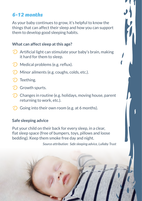## *6-12 months*

As your baby continues to grow, it's helpful to know the things that can affect their sleep and how you can support them to develop good sleeping habits.

#### **What can affect sleep at this age?**

- $\bigcirc$  Artificial light can stimulate your baby's brain, making it hard for them to sleep.
- **Medical problems (e.g. reflux).**
- **Minor ailments (e.g. coughs, colds, etc.).**
- Teething.
- Growth spurts.
- $\odot$  Changes in routine (e.g. holidays, moving house, parent returning to work, etc.).
- Going into their own room (e.g. at 6 months).

#### **Safe sleeping advice**

Put your child on their back for every sleep, in a clear, flat sleep space (free of bumpers, toys, pillows and loose bedding). Keep them smoke free day and night.

*Source attribution: Safe sleeping advice, Lullaby Trust*